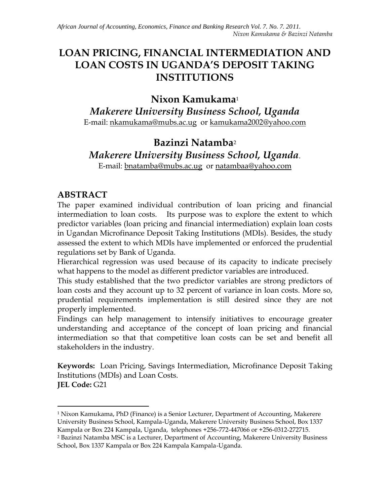# **LOAN PRICING, FINANCIAL INTERMEDIATION AND LOAN COSTS IN UGANDA'S DEPOSIT TAKING INSTITUTIONS**

# **Nixon Kamukama**<sup>1</sup>

*Makerere University Business School, Uganda* E-mail: [nkamukama@mubs.ac.ug](mailto:nkamukama@mubs.ac.ug) or [kamukama2002@yahoo.com](mailto:kamukama2002@yahoo.com)

## **Bazinzi Natamba**<sup>2</sup> *Makerere University Business School, Uganda*. E-mail: [bnatamba@mubs.ac.ug](mailto:bnatamba@mubs.ac.ug) or [natambaa@yahoo.com](mailto:natambaa@yahoo.com)

### **ABSTRACT**

The paper examined individual contribution of loan pricing and financial intermediation to loan costs. Its purpose was to explore the extent to which predictor variables (loan pricing and financial intermediation) explain loan costs in Ugandan Microfinance Deposit Taking Institutions (MDIs). Besides, the study assessed the extent to which MDIs have implemented or enforced the prudential regulations set by Bank of Uganda.

Hierarchical regression was used because of its capacity to indicate precisely what happens to the model as different predictor variables are introduced.

This study established that the two predictor variables are strong predictors of loan costs and they account up to 32 percent of variance in loan costs. More so, prudential requirements implementation is still desired since they are not properly implemented.

Findings can help management to intensify initiatives to encourage greater understanding and acceptance of the concept of loan pricing and financial intermediation so that that competitive loan costs can be set and benefit all stakeholders in the industry.

**Keywords:** Loan Pricing, Savings Intermediation, Microfinance Deposit Taking Institutions (MDIs) and Loan Costs.

**JEL Code:** G21

 $\overline{a}$ 

<sup>1</sup> Nixon Kamukama, PhD (Finance) is a Senior Lecturer, Department of Accounting, Makerere University Business School, Kampala-Uganda, Makerere University Business School, Box 1337 Kampala or Box 224 Kampala, Uganda, telephones +256-772-447066 or +256-0312-272715. <sup>2</sup> Bazinzi Natamba MSC is a Lecturer, Department of Accounting, Makerere University Business School, Box 1337 Kampala or Box 224 Kampala Kampala-Uganda.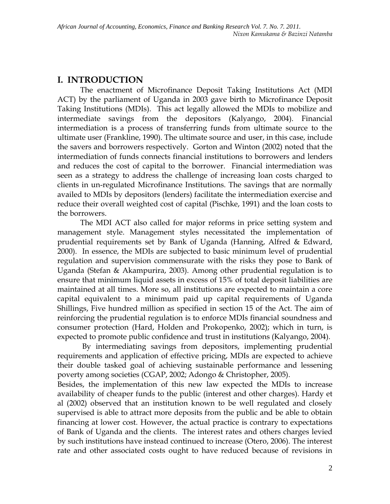### **I. INTRODUCTION**

The enactment of Microfinance Deposit Taking Institutions Act (MDI ACT) by the parliament of Uganda in 2003 gave birth to Microfinance Deposit Taking Institutions (MDIs). This act legally allowed the MDIs to mobilize and intermediate savings from the depositors (Kalyango, 2004). Financial intermediation is a process of transferring funds from ultimate source to the ultimate user (Frankline, 1990). The ultimate source and user, in this case, include the savers and borrowers respectively. Gorton and Winton (2002) noted that the intermediation of funds connects financial institutions to borrowers and lenders and reduces the cost of capital to the borrower. Financial intermediation was seen as a strategy to address the challenge of increasing loan costs charged to clients in un-regulated Microfinance Institutions. The savings that are normally availed to MDIs by depositors (lenders) facilitate the intermediation exercise and reduce their overall weighted cost of capital (Pischke, 1991) and the loan costs to the borrowers.

The MDI ACT also called for major reforms in price setting system and management style. Management styles necessitated the implementation of prudential requirements set by Bank of Uganda (Hanning, Alfred & Edward, 2000). In essence, the MDIs are subjected to basic minimum level of prudential regulation and supervision commensurate with the risks they pose to Bank of Uganda (Stefan & Akampurira, 2003). Among other prudential regulation is to ensure that minimum liquid assets in excess of 15% of total deposit liabilities are maintained at all times. More so, all institutions are expected to maintain a core capital equivalent to a minimum paid up capital requirements of Uganda Shillings, Five hundred million as specified in section 15 of the Act. The aim of reinforcing the prudential regulation is to enforce MDIs financial soundness and consumer protection (Hard, Holden and Prokopenko, 2002); which in turn, is expected to promote public confidence and trust in institutions (Kalyango, 2004).

By intermediating savings from depositors, implementing prudential requirements and application of effective pricing, MDIs are expected to achieve their double tasked goal of achieving sustainable performance and lessening poverty among societies (CGAP, 2002; Adongo & Christopher, 2005).

Besides, the implementation of this new law expected the MDIs to increase availability of cheaper funds to the public (interest and other charges). Hardy et al (2002) observed that an institution known to be well regulated and closely supervised is able to attract more deposits from the public and be able to obtain financing at lower cost. However, the actual practice is contrary to expectations of Bank of Uganda and the clients. The interest rates and others charges levied by such institutions have instead continued to increase (Otero, 2006). The interest rate and other associated costs ought to have reduced because of revisions in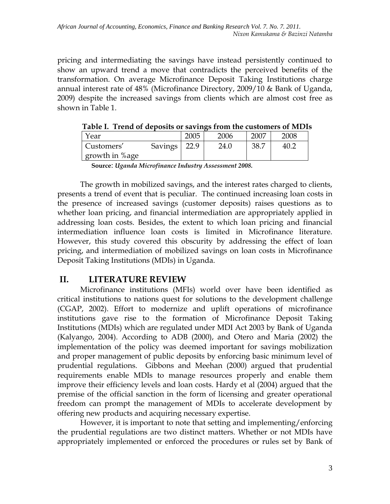pricing and intermediating the savings have instead persistently continued to show an upward trend a move that contradicts the perceived benefits of the transformation. On average Microfinance Deposit Taking Institutions charge annual interest rate of 48% (Microfinance Directory, 2009/10 & Bank of Uganda, 2009) despite the increased savings from clients which are almost cost free as shown in Table 1.

| Year           |                | 2005 | 2006 | 2007 | 2008 |
|----------------|----------------|------|------|------|------|
| Customers'     | <b>Savings</b> |      | 24.0 | 38.7 |      |
| growth in %age |                |      |      |      |      |

|  |  | Table I. Trend of deposits or savings from the customers of MDIs |  |
|--|--|------------------------------------------------------------------|--|
|  |  |                                                                  |  |

**Source**: *Uganda Microfinance Industry Assessment 2008.*

The growth in mobilized savings, and the interest rates charged to clients, presents a trend of event that is peculiar. The continued increasing loan costs in the presence of increased savings (customer deposits) raises questions as to whether loan pricing, and financial intermediation are appropriately applied in addressing loan costs. Besides, the extent to which loan pricing and financial intermediation influence loan costs is limited in Microfinance literature. However, this study covered this obscurity by addressing the effect of loan pricing, and intermediation of mobilized savings on loan costs in Microfinance Deposit Taking Institutions (MDIs) in Uganda.

### **II. LITERATURE REVIEW**

 Microfinance institutions (MFIs) world over have been identified as critical institutions to nations quest for solutions to the development challenge (CGAP, 2002). Effort to modernize and uplift operations of microfinance institutions gave rise to the formation of Microfinance Deposit Taking Institutions (MDIs) which are regulated under MDI Act 2003 by Bank of Uganda (Kalyango, 2004). According to ADB (2000), and Otero and Maria (2002) the implementation of the policy was deemed important for savings mobilization and proper management of public deposits by enforcing basic minimum level of prudential regulations. Gibbons and Meehan (2000) argued that prudential requirements enable MDIs to manage resources properly and enable them improve their efficiency levels and loan costs. Hardy et al (2004) argued that the premise of the official sanction in the form of licensing and greater operational freedom can prompt the management of MDIs to accelerate development by offering new products and acquiring necessary expertise.

However, it is important to note that setting and implementing/enforcing the prudential regulations are two distinct matters. Whether or not MDIs have appropriately implemented or enforced the procedures or rules set by Bank of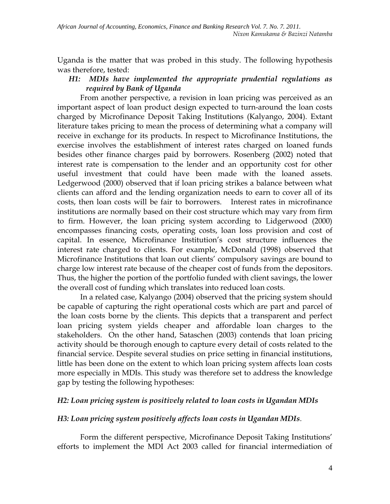Uganda is the matter that was probed in this study. The following hypothesis was therefore, tested:

#### *H1: MDIs have implemented the appropriate prudential regulations as required by Bank of Uganda*

From another perspective, a revision in loan pricing was perceived as an important aspect of loan product design expected to turn-around the loan costs charged by Microfinance Deposit Taking Institutions (Kalyango, 2004). Extant literature takes pricing to mean the process of determining what a company will receive in exchange for its products. In respect to Microfinance Institutions, the exercise involves the establishment of interest rates charged on loaned funds besides other finance charges paid by borrowers. Rosenberg (2002) noted that interest rate is compensation to the lender and an opportunity cost for other useful investment that could have been made with the loaned assets. Ledgerwood (2000) observed that if loan pricing strikes a balance between what clients can afford and the lending organization needs to earn to cover all of its costs, then loan costs will be fair to borrowers. Interest rates in microfinance institutions are normally based on their cost structure which may vary from firm to firm. However, the loan pricing system according to Lidgerwood (2000) encompasses financing costs, operating costs, loan loss provision and cost of capital. In essence, Microfinance Institution's cost structure influences the interest rate charged to clients. For example, McDonald (1998) observed that Microfinance Institutions that loan out clients' compulsory savings are bound to charge low interest rate because of the cheaper cost of funds from the depositors. Thus, the higher the portion of the portfolio funded with client savings, the lower the overall cost of funding which translates into reduced loan costs.

In a related case, Kalyango (2004) observed that the pricing system should be capable of capturing the right operational costs which are part and parcel of the loan costs borne by the clients. This depicts that a transparent and perfect loan pricing system yields cheaper and affordable loan charges to the stakeholders. On the other hand, Sataschen (2003) contends that loan pricing activity should be thorough enough to capture every detail of costs related to the financial service. Despite several studies on price setting in financial institutions, little has been done on the extent to which loan pricing system affects loan costs more especially in MDIs. This study was therefore set to address the knowledge gap by testing the following hypotheses:

#### *H2: Loan pricing system is positively related to loan costs in Ugandan MDIs*

#### *H3: Loan pricing system positively affects loan costs in Ugandan MDIs.*

Form the different perspective, Microfinance Deposit Taking Institutions' efforts to implement the MDI Act 2003 called for financial intermediation of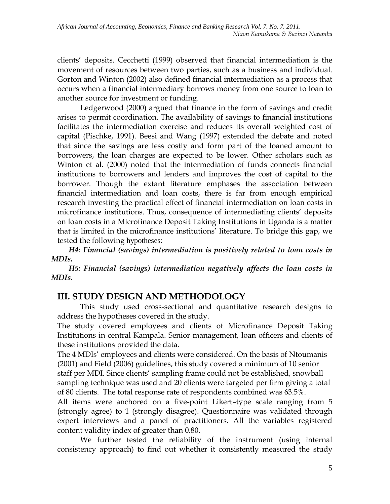clients' deposits. Cecchetti (1999) observed that financial intermediation is the movement of resources between two parties, such as a business and individual. Gorton and Winton (2002) also defined financial intermediation as a process that occurs when a financial intermediary borrows money from one source to loan to another source for investment or funding.

Ledgerwood (2000) argued that finance in the form of savings and credit arises to permit coordination. The availability of savings to financial institutions facilitates the intermediation exercise and reduces its overall weighted cost of capital (Pischke, 1991). Beesi and Wang (1997) extended the debate and noted that since the savings are less costly and form part of the loaned amount to borrowers, the loan charges are expected to be lower. Other scholars such as Winton et al. (2000) noted that the intermediation of funds connects financial institutions to borrowers and lenders and improves the cost of capital to the borrower. Though the extant literature emphases the association between financial intermediation and loan costs, there is far from enough empirical research investing the practical effect of financial intermediation on loan costs in microfinance institutions. Thus, consequence of intermediating clients' deposits on loan costs in a Microfinance Deposit Taking Institutions in Uganda is a matter that is limited in the microfinance institutions' literature. To bridge this gap, we tested the following hypotheses:

*H4: Financial (savings) intermediation is positively related to loan costs in MDIs.*

*H5: Financial (savings) intermediation negatively affects the loan costs in MDIs.*

### **III. STUDY DESIGN AND METHODOLOGY**

This study used cross-sectional and quantitative research designs to address the hypotheses covered in the study.

The study covered employees and clients of Microfinance Deposit Taking Institutions in central Kampala. Senior management, loan officers and clients of these institutions provided the data.

The 4 MDIs' employees and clients were considered. On the basis of Ntoumanis (2001) and Field (2006) guidelines, this study covered a minimum of 10 senior staff per MDI. Since clients' sampling frame could not be established, snowball sampling technique was used and 20 clients were targeted per firm giving a total of 80 clients. The total response rate of respondents combined was 63.5%.

All items were anchored on a five-point Likert–type scale ranging from 5 (strongly agree) to 1 (strongly disagree). Questionnaire was validated through expert interviews and a panel of practitioners. All the variables registered content validity index of greater than 0.80.

We further tested the reliability of the instrument (using internal consistency approach) to find out whether it consistently measured the study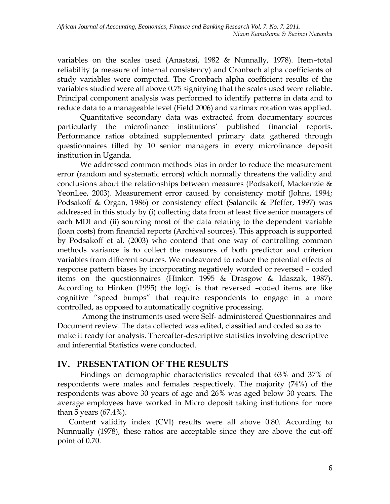variables on the scales used (Anastasi, 1982 & Nunnally, 1978). Item–total reliability (a measure of internal consistency) and Cronbach alpha coefficients of study variables were computed. The Cronbach alpha coefficient results of the variables studied were all above 0.75 signifying that the scales used were reliable. Principal component analysis was performed to identify patterns in data and to reduce data to a manageable level (Field 2006) and varimax rotation was applied.

Quantitative secondary data was extracted from documentary sources particularly the microfinance institutions' published financial reports. Performance ratios obtained supplemented primary data gathered through questionnaires filled by 10 senior managers in every microfinance deposit institution in Uganda.

We addressed common methods bias in order to reduce the measurement error (random and systematic errors) which normally threatens the validity and conclusions about the relationships between measures (Podsakoff, Mackenzie & YeonLee, 2003). Measurement error caused by consistency motif (Johns, 1994; Podsakoff & Organ, 1986) or consistency effect (Salancik & Pfeffer, 1997) was addressed in this study by (i) collecting data from at least five senior managers of each MDI and (ii) sourcing most of the data relating to the dependent variable (loan costs) from financial reports (Archival sources). This approach is supported by Podsakoff et al, (2003) who contend that one way of controlling common methods variance is to collect the measures of both predictor and criterion variables from different sources. We endeavored to reduce the potential effects of response pattern biases by incorporating negatively worded or reversed – coded items on the questionnaires (Hinken 1995 & Drasgow & Idaszak, 1987). According to Hinken (1995) the logic is that reversed –coded items are like cognitive "speed bumps" that require respondents to engage in a more controlled, as opposed to automatically cognitive processing.

 Among the instruments used were Self- administered Questionnaires and Document review. The data collected was edited, classified and coded so as to make it ready for analysis. Thereafter-descriptive statistics involving descriptive and inferential Statistics were conducted.

### **IV. PRESENTATION OF THE RESULTS**

Findings on demographic characteristics revealed that 63% and 37% of respondents were males and females respectively. The majority (74%) of the respondents was above 30 years of age and 26% was aged below 30 years. The average employees have worked in Micro deposit taking institutions for more than 5 years (67.4%).

 Content validity index (CVI) results were all above 0.80. According to Nunnually (1978), these ratios are acceptable since they are above the cut-off point of 0.70.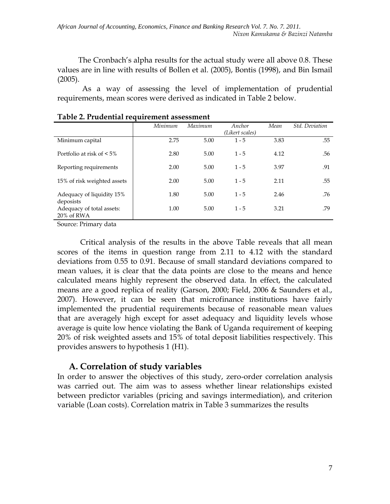The Cronbach's alpha results for the actual study were all above 0.8. These values are in line with results of Bollen et al. (2005), Bontis (1998), and Bin Ismail (2005).

 As a way of assessing the level of implementation of prudential requirements, mean scores were derived as indicated in Table 2 below.

|                                         | Minimum | Maximum | Anchor<br>(Likert scales) | Mean | <b>Std.</b> Deviation |
|-----------------------------------------|---------|---------|---------------------------|------|-----------------------|
| Minimum capital                         | 2.75    | 5.00    | $1 - 5$                   | 3.83 | .55                   |
| Portfolio at risk of $\leq 5\%$         | 2.80    | 5.00    | $1 - 5$                   | 4.12 | .56                   |
| Reporting requirements                  | 2.00    | 5.00    | $1 - 5$                   | 3.97 | .91                   |
| 15% of risk weighted assets             | 2.00    | 5.00    | $1 - 5$                   | 2.11 | .55                   |
| Adequacy of liquidity 15%<br>deposists  | 1.80    | 5.00    | $1 - 5$                   | 2.46 | .76                   |
| Adequacy of total assets:<br>20% of RWA | 1.00    | 5.00    | $1 - 5$                   | 3.21 | .79                   |

#### **Table 2. Prudential requirement assessment**

Source: Primary data

Critical analysis of the results in the above Table reveals that all mean scores of the items in question range from 2.11 to 4.12 with the standard deviations from 0.55 to 0.91. Because of small standard deviations compared to mean values, it is clear that the data points are close to the means and hence calculated means highly represent the observed data. In effect, the calculated means are a good replica of reality (Garson, 2000; Field, 2006 & Saunders et al., 2007). However, it can be seen that microfinance institutions have fairly implemented the prudential requirements because of reasonable mean values that are averagely high except for asset adequacy and liquidity levels whose average is quite low hence violating the Bank of Uganda requirement of keeping 20% of risk weighted assets and 15% of total deposit liabilities respectively. This provides answers to hypothesis 1 (H1).

### **A. Correlation of study variables**

In order to answer the objectives of this study, zero-order correlation analysis was carried out. The aim was to assess whether linear relationships existed between predictor variables (pricing and savings intermediation), and criterion variable (Loan costs). Correlation matrix in Table 3 summarizes the results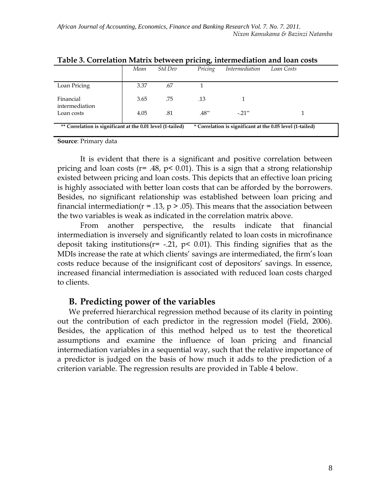|                                                            |      |         | $\cdot$ |                       |                                                           |
|------------------------------------------------------------|------|---------|---------|-----------------------|-----------------------------------------------------------|
|                                                            | Mean | Std Dev | Pricing | <i>Intermediation</i> | Loan Costs                                                |
| Loan Pricing                                               | 3.37 | .67     |         |                       |                                                           |
| Financial<br>intermediation                                | 3.65 | .75     | .13     |                       |                                                           |
| Loan costs                                                 | 4.05 | .81     | $.48**$ | $-.21**$              |                                                           |
| ** Correlation is significant at the 0.01 level (1-tailed) |      |         |         |                       | * Correlation is significant at the 0.05 level (1-tailed) |

**Table 3. Correlation Matrix between pricing, intermediation and loan costs**

**Source**: Primary data

It is evident that there is a significant and positive correlation between pricing and loan costs ( $r = .48$ ,  $p < 0.01$ ). This is a sign that a strong relationship existed between pricing and loan costs. This depicts that an effective loan pricing is highly associated with better loan costs that can be afforded by the borrowers. Besides, no significant relationship was established between loan pricing and financial intermediation( $r = .13$ ,  $p > .05$ ). This means that the association between the two variables is weak as indicated in the correlation matrix above.

From another perspective, the results indicate that financial intermediation is inversely and significantly related to loan costs in microfinance deposit taking institutions( $r = -.21$ ,  $p < 0.01$ ). This finding signifies that as the MDIs increase the rate at which clients' savings are intermediated, the firm's loan costs reduce because of the insignificant cost of depositors' savings. In essence, increased financial intermediation is associated with reduced loan costs charged to clients.

#### **B. Predicting power of the variables**

We preferred hierarchical regression method because of its clarity in pointing out the contribution of each predictor in the regression model (Field, 2006). Besides, the application of this method helped us to test the theoretical assumptions and examine the influence of loan pricing and financial intermediation variables in a sequential way, such that the relative importance of a predictor is judged on the basis of how much it adds to the prediction of a criterion variable. The regression results are provided in Table 4 below.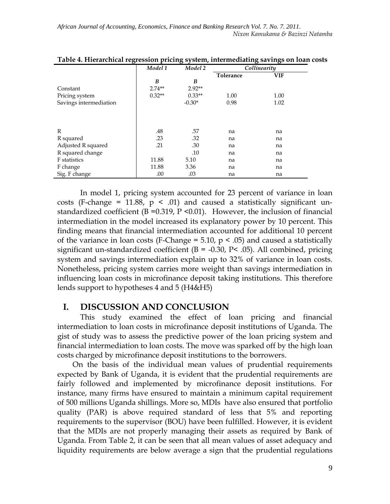|                        | Model 1  | Model 2  | Collinearity |            |  |
|------------------------|----------|----------|--------------|------------|--|
|                        |          |          | Tolerance    | <b>VIF</b> |  |
|                        | B        | B        |              |            |  |
| Constant               | $2.74**$ | $2.92**$ |              |            |  |
| Pricing system         | $0.32**$ | $0.33**$ | 1.00         | 1.00       |  |
| Savings intermediation |          | $-0.30*$ | 0.98         | 1.02       |  |
|                        |          |          |              |            |  |
| $\mathbb{R}$           | .48      | .57      | na           | na         |  |
| R squared              | .23      | .32      | na           | na         |  |
| Adjusted R squared     | .21      | .30      | na           | na         |  |
| R squared change       |          | .10      | na           | na         |  |
| F statistics           | 11.88    | 5.10     | na           | na         |  |
| F change               | 11.88    | 3.36     | na           | na         |  |
| Sig. F change          | .00      | .03      | na           | na         |  |

| Table 4. Hierarchical regression pricing system, intermediating savings on loan costs |  |  |  |
|---------------------------------------------------------------------------------------|--|--|--|
|                                                                                       |  |  |  |

In model 1, pricing system accounted for 23 percent of variance in loan costs (F-change = 11.88,  $p \leq .01$ ) and caused a statistically significant unstandardized coefficient ( $B = 0.319$ ,  $P \le 0.01$ ). However, the inclusion of financial intermediation in the model increased its explanatory power by 10 percent. This finding means that financial intermediation accounted for additional 10 percent of the variance in loan costs (F-Change = 5.10,  $p < .05$ ) and caused a statistically significant un-standardized coefficient  $(B = -0.30, P < .05)$ . All combined, pricing system and savings intermediation explain up to 32% of variance in loan costs. Nonetheless, pricing system carries more weight than savings intermediation in influencing loan costs in microfinance deposit taking institutions. This therefore lends support to hypotheses 4 and 5 (H4&H5)

#### **I. DISCUSSION AND CONCLUSION**

This study examined the effect of loan pricing and financial intermediation to loan costs in microfinance deposit institutions of Uganda. The gist of study was to assess the predictive power of the loan pricing system and financial intermediation to loan costs. The move was sparked off by the high loan costs charged by microfinance deposit institutions to the borrowers.

 On the basis of the individual mean values of prudential requirements expected by Bank of Uganda, it is evident that the prudential requirements are fairly followed and implemented by microfinance deposit institutions. For instance, many firms have ensured to maintain a minimum capital requirement of 500 millions Uganda shillings. More so, MDIs have also ensured that portfolio quality (PAR) is above required standard of less that 5% and reporting requirements to the supervisor (BOU) have been fulfilled. However, it is evident that the MDIs are not properly managing their assets as required by Bank of Uganda. From Table 2, it can be seen that all mean values of asset adequacy and liquidity requirements are below average a sign that the prudential regulations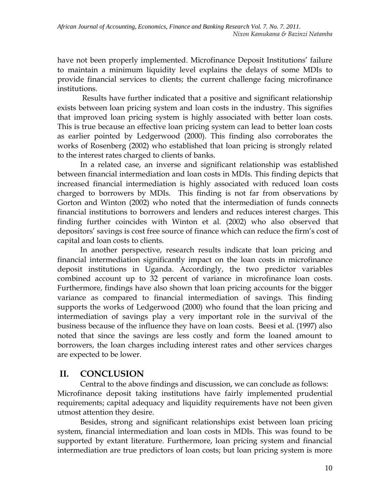have not been properly implemented. Microfinance Deposit Institutions' failure to maintain a minimum liquidity level explains the delays of some MDIs to provide financial services to clients; the current challenge facing microfinance institutions.

Results have further indicated that a positive and significant relationship exists between loan pricing system and loan costs in the industry. This signifies that improved loan pricing system is highly associated with better loan costs. This is true because an effective loan pricing system can lead to better loan costs as earlier pointed by Ledgerwood (2000). This finding also corroborates the works of Rosenberg (2002) who established that loan pricing is strongly related to the interest rates charged to clients of banks.

In a related case, an inverse and significant relationship was established between financial intermediation and loan costs in MDIs. This finding depicts that increased financial intermediation is highly associated with reduced loan costs charged to borrowers by MDIs. This finding is not far from observations by Gorton and Winton (2002) who noted that the intermediation of funds connects financial institutions to borrowers and lenders and reduces interest charges. This finding further coincides with Winton et al. (2002) who also observed that depositors' savings is cost free source of finance which can reduce the firm's cost of capital and loan costs to clients.

In another perspective, research results indicate that loan pricing and financial intermediation significantly impact on the loan costs in microfinance deposit institutions in Uganda. Accordingly, the two predictor variables combined account up to 32 percent of variance in microfinance loan costs. Furthermore, findings have also shown that loan pricing accounts for the bigger variance as compared to financial intermediation of savings. This finding supports the works of Ledgerwood (2000) who found that the loan pricing and intermediation of savings play a very important role in the survival of the business because of the influence they have on loan costs. Beesi et al. (1997) also noted that since the savings are less costly and form the loaned amount to borrowers, the loan charges including interest rates and other services charges are expected to be lower.

## **II. CONCLUSION**

Central to the above findings and discussion, we can conclude as follows: Microfinance deposit taking institutions have fairly implemented prudential requirements; capital adequacy and liquidity requirements have not been given utmost attention they desire.

Besides, strong and significant relationships exist between loan pricing system, financial intermediation and loan costs in MDIs. This was found to be supported by extant literature. Furthermore, loan pricing system and financial intermediation are true predictors of loan costs; but loan pricing system is more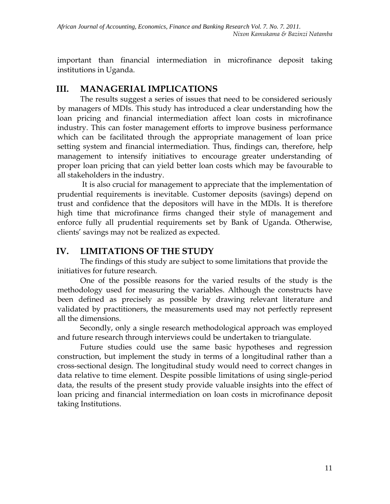important than financial intermediation in microfinance deposit taking institutions in Uganda.

### **III. MANAGERIAL IMPLICATIONS**

The results suggest a series of issues that need to be considered seriously by managers of MDIs. This study has introduced a clear understanding how the loan pricing and financial intermediation affect loan costs in microfinance industry. This can foster management efforts to improve business performance which can be facilitated through the appropriate management of loan price setting system and financial intermediation. Thus, findings can, therefore, help management to intensify initiatives to encourage greater understanding of proper loan pricing that can yield better loan costs which may be favourable to all stakeholders in the industry.

It is also crucial for management to appreciate that the implementation of prudential requirements is inevitable. Customer deposits (savings) depend on trust and confidence that the depositors will have in the MDIs. It is therefore high time that microfinance firms changed their style of management and enforce fully all prudential requirements set by Bank of Uganda. Otherwise, clients' savings may not be realized as expected.

### **IV. LIMITATIONS OF THE STUDY**

The findings of this study are subject to some limitations that provide the initiatives for future research.

One of the possible reasons for the varied results of the study is the methodology used for measuring the variables. Although the constructs have been defined as precisely as possible by drawing relevant literature and validated by practitioners, the measurements used may not perfectly represent all the dimensions.

Secondly, only a single research methodological approach was employed and future research through interviews could be undertaken to triangulate.

Future studies could use the same basic hypotheses and regression construction, but implement the study in terms of a longitudinal rather than a cross-sectional design. The longitudinal study would need to correct changes in data relative to time element. Despite possible limitations of using single-period data, the results of the present study provide valuable insights into the effect of loan pricing and financial intermediation on loan costs in microfinance deposit taking Institutions.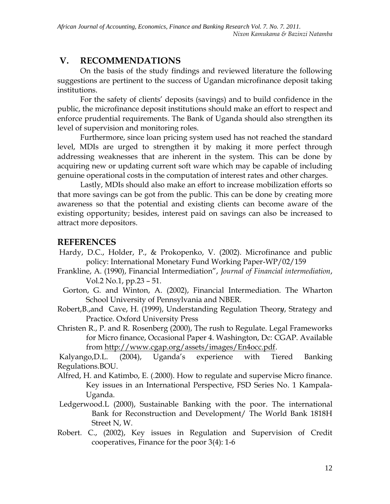## **V. RECOMMENDATIONS**

On the basis of the study findings and reviewed literature the following suggestions are pertinent to the success of Ugandan microfinance deposit taking institutions.

For the safety of clients' deposits (savings) and to build confidence in the public, the microfinance deposit institutions should make an effort to respect and enforce prudential requirements. The Bank of Uganda should also strengthen its level of supervision and monitoring roles.

Furthermore, since loan pricing system used has not reached the standard level, MDIs are urged to strengthen it by making it more perfect through addressing weaknesses that are inherent in the system. This can be done by acquiring new or updating current soft ware which may be capable of including genuine operational costs in the computation of interest rates and other charges.

Lastly, MDIs should also make an effort to increase mobilization efforts so that more savings can be got from the public. This can be done by creating more awareness so that the potential and existing clients can become aware of the existing opportunity; besides, interest paid on savings can also be increased to attract more depositors.

### **REFERENCES**

- Hardy, D.C., Holder, P., & Prokopenko, V. (2002). Microfinance and public policy: International Monetary Fund Working Paper-WP/02/159
- Frankline, A. (1990), Financial Intermediation", *Journal of Financial intermediation*, Vol.2 No.1, pp.23 – 51.
- Gorton, G. and Winton, A. (2002), Financial Intermediation. The Wharton School University of Pennsylvania and NBER.
- Robert,B.,and Cave, H. (1999), Understanding Regulation Theor*y*, Strategy and Practice. Oxford University Press
- Christen R., P. and R. Rosenberg (2000), The rush to Regulate. Legal Frameworks for Micro finance, Occasional Paper 4. Washington, Dc: CGAP. Available from [http://www.cgap.org/assets/images/En4occ.pdf.](http://www.cgap.org/assets/images/En4occ.pdf)

Kalyango,D.L. (2004), Uganda's experience with Tiered Banking Regulations.BOU.

- Alfred, H. and Katimbo, E. (.2000). How to regulate and supervise Micro finance. Key issues in an International Perspective, FSD Series No. 1 Kampala-Uganda.
- Ledgerwood.L (2000), Sustainable Banking with the poor. The international Bank for Reconstruction and Development/ The World Bank 1818H Street N, W.
- Robert. C., (2002), Key issues in Regulation and Supervision of Credit cooperatives, Finance for the poor 3(4): 1-6